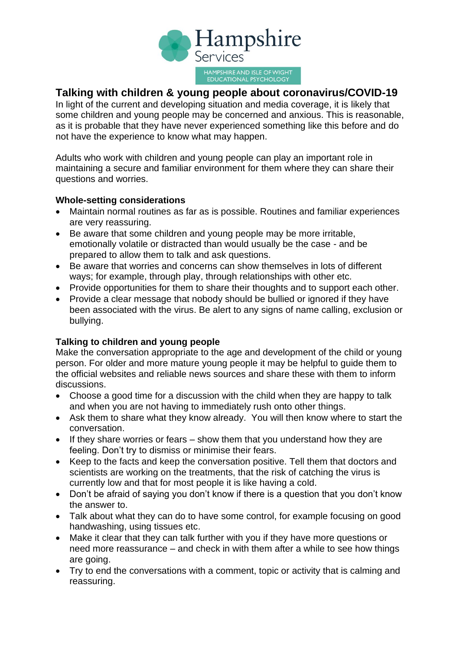

## **Talking with children & young people about coronavirus/COVID-19**

In light of the current and developing situation and media coverage, it is likely that some children and young people may be concerned and anxious. This is reasonable, as it is probable that they have never experienced something like this before and do not have the experience to know what may happen.

Adults who work with children and young people can play an important role in maintaining a secure and familiar environment for them where they can share their questions and worries.

## **Whole-setting considerations**

- Maintain normal routines as far as is possible. Routines and familiar experiences are very reassuring.
- Be aware that some children and young people may be more irritable, emotionally volatile or distracted than would usually be the case - and be prepared to allow them to talk and ask questions.
- Be aware that worries and concerns can show themselves in lots of different ways; for example, through play, through relationships with other etc.
- Provide opportunities for them to share their thoughts and to support each other.
- Provide a clear message that nobody should be bullied or ignored if they have been associated with the virus. Be alert to any signs of name calling, exclusion or bullying.

## **Talking to children and young people**

Make the conversation appropriate to the age and development of the child or young person. For older and more mature young people it may be helpful to guide them to the official websites and reliable news sources and share these with them to inform discussions.

- Choose a good time for a discussion with the child when they are happy to talk and when you are not having to immediately rush onto other things.
- Ask them to share what they know already. You will then know where to start the conversation.
- If they share worries or fears show them that you understand how they are feeling. Don't try to dismiss or minimise their fears.
- Keep to the facts and keep the conversation positive. Tell them that doctors and scientists are working on the treatments, that the risk of catching the virus is currently low and that for most people it is like having a cold.
- Don't be afraid of saying you don't know if there is a question that you don't know the answer to.
- Talk about what they can do to have some control, for example focusing on good handwashing, using tissues etc.
- Make it clear that they can talk further with you if they have more questions or need more reassurance – and check in with them after a while to see how things are going.
- Try to end the conversations with a comment, topic or activity that is calming and reassuring.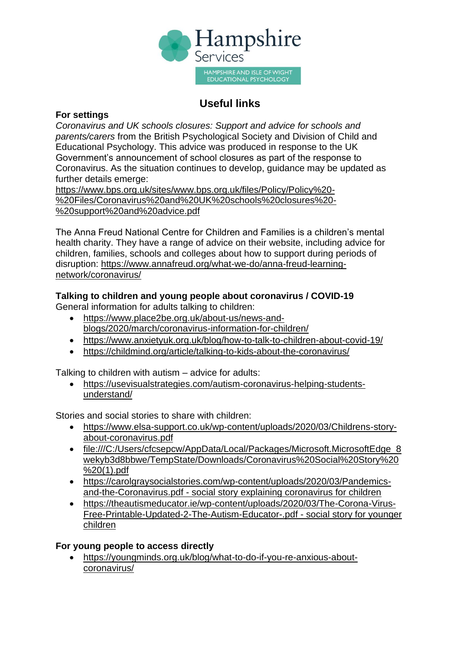

# **Useful links**

## **For settings**

*Coronavirus and UK schools closures: Support and advice for schools and parents/carers* from the British Psychological Society and Division of Child and Educational Psychology. This advice was produced in response to the UK Government's announcement of school closures as part of the response to Coronavirus. As the situation continues to develop, guidance may be updated as further details emerge:

[https://www.bps.org.uk/sites/www.bps.org.uk/files/Policy/Policy%20-](https://www.bps.org.uk/sites/www.bps.org.uk/files/Policy/Policy%20-%20Files/Coronavirus%20and%20UK%20schools%20closures%20-%20support%20and%20advice.pdf) [%20Files/Coronavirus%20and%20UK%20schools%20closures%20-](https://www.bps.org.uk/sites/www.bps.org.uk/files/Policy/Policy%20-%20Files/Coronavirus%20and%20UK%20schools%20closures%20-%20support%20and%20advice.pdf) [%20support%20and%20advice.pdf](https://www.bps.org.uk/sites/www.bps.org.uk/files/Policy/Policy%20-%20Files/Coronavirus%20and%20UK%20schools%20closures%20-%20support%20and%20advice.pdf)

The Anna Freud National Centre for Children and Families is a children's mental health charity. They have a range of advice on their website, including advice for children, families, schools and colleges about how to support during periods of disruption: [https://www.annafreud.org/what-we-do/anna-freud-learning](https://www.annafreud.org/what-we-do/anna-freud-learning-network/coronavirus/)[network/coronavirus/](https://www.annafreud.org/what-we-do/anna-freud-learning-network/coronavirus/)

## **Talking to children and young people about coronavirus / COVID-19**

General information for adults talking to children:

- [https://www.place2be.org.uk/about-us/news-and](https://www.place2be.org.uk/about-us/news-and-blogs/2020/march/coronavirus-information-for-children/)[blogs/2020/march/coronavirus-information-for-children/](https://www.place2be.org.uk/about-us/news-and-blogs/2020/march/coronavirus-information-for-children/)
- <https://www.anxietyuk.org.uk/blog/how-to-talk-to-children-about-covid-19/>
- <https://childmind.org/article/talking-to-kids-about-the-coronavirus/>

Talking to children with autism – advice for adults:

• [https://usevisualstrategies.com/autism-coronavirus-helping-students](https://usevisualstrategies.com/autism-coronavirus-helping-students-understand/)[understand/](https://usevisualstrategies.com/autism-coronavirus-helping-students-understand/)

Stories and social stories to share with children:

- https://www.elsa-support.co.uk/wp-content/uploads/2020/03/Childrens-storyabout-coronavirus.pdf
- file:///C:/Users/cfcsepcw/AppData/Local/Packages/Microsoft.MicrosoftEdge 8 [wekyb3d8bbwe/TempState/Downloads/Coronavirus%20Social%20Story%20](file:///C:/Users/cfcsepcw/AppData/Local/Packages/Microsoft.MicrosoftEdge_8wekyb3d8bbwe/TempState/Downloads/Coronavirus%20Social%20Story%20%20(1).pdf) [%20\(1\).pdf](file:///C:/Users/cfcsepcw/AppData/Local/Packages/Microsoft.MicrosoftEdge_8wekyb3d8bbwe/TempState/Downloads/Coronavirus%20Social%20Story%20%20(1).pdf)
- [https://carolgraysocialstories.com/wp-content/uploads/2020/03/Pandemics](https://carolgraysocialstories.com/wp-content/uploads/2020/03/Pandemics-and-the-Coronavirus.pdf)[and-the-Coronavirus.pdf](https://carolgraysocialstories.com/wp-content/uploads/2020/03/Pandemics-and-the-Coronavirus.pdf) - social story explaining coronavirus for children
- [https://theautismeducator.ie/wp-content/uploads/2020/03/The-Corona-Virus-](https://theautismeducator.ie/wp-content/uploads/2020/03/The-Corona-Virus-Free-Printable-Updated-2-The-Autism-Educator-.pdf)[Free-Printable-Updated-2-The-Autism-Educator-.pdf](https://theautismeducator.ie/wp-content/uploads/2020/03/The-Corona-Virus-Free-Printable-Updated-2-The-Autism-Educator-.pdf) - social story for younger children

## **For young people to access directly**

• [https://youngminds.org.uk/blog/what-to-do-if-you-re-anxious-about](https://youngminds.org.uk/blog/what-to-do-if-you-re-anxious-about-coronavirus/)[coronavirus/](https://youngminds.org.uk/blog/what-to-do-if-you-re-anxious-about-coronavirus/)